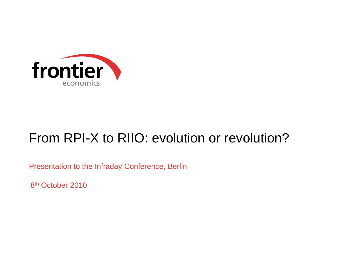

# From RPI-X to RIIO: evolution or revolution?

Presentation to the Infraday Conference, Berlin

8<sup>th</sup> October 2010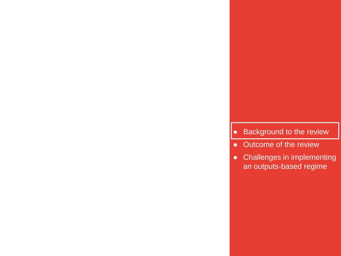#### ● Background to the review

• Outcome of the review

**2 Frontier Economics**

● Challenges in implementing an outputs-based regime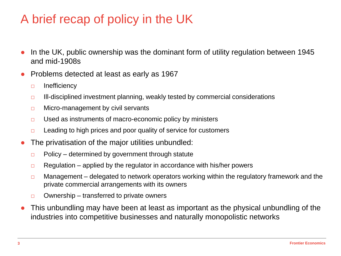# A brief recap of policy in the UK

- In the UK, public ownership was the dominant form of utility regulation between 1945 and mid-1908s
- Problems detected at least as early as 1967
	- □ Inefficiency
	- □ Ill-disciplined investment planning, weakly tested by commercial considerations
	- □ Micro-management by civil servants
	- □ Used as instruments of macro-economic policy by ministers
	- $\Box$  Leading to high prices and poor quality of service for customers
- The privatisation of the major utilities unbundled:
	- $\Box$  Policy determined by government through statute
	- $\Box$  Regulation applied by the regulator in accordance with his/her powers
	- $\Box$  Management delegated to network operators working within the regulatory framework and the private commercial arrangements with its owners
	- $\Box$  Ownership transferred to private owners
- This unbundling may have been at least as important as the physical unbundling of the industries into competitive businesses and naturally monopolistic networks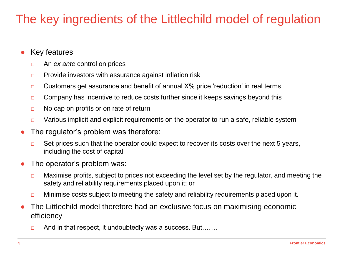# The key ingredients of the Littlechild model of regulation

- Key features
	- □ An *ex ante* control on prices
	- □ Provide investors with assurance against inflation risk
	- $\Box$  Customers get assurance and benefit of annual  $X\%$  price 'reduction' in real terms
	- □ Company has incentive to reduce costs further since it keeps savings beyond this
	- $\Box$  No cap on profits or on rate of return
	- □ Various implicit and explicit requirements on the operator to run a safe, reliable system
- The regulator's problem was therefore:
	- $\Box$  Set prices such that the operator could expect to recover its costs over the next 5 years, including the cost of capital
- The operator's problem was:
	- $\Box$  Maximise profits, subject to prices not exceeding the level set by the regulator, and meeting the safety and reliability requirements placed upon it; or
	- □ Minimise costs subject to meeting the safety and reliability requirements placed upon it.
- The Littlechild model therefore had an exclusive focus on maximising economic efficiency
	- □ And in that respect, it undoubtedly was a success. But…….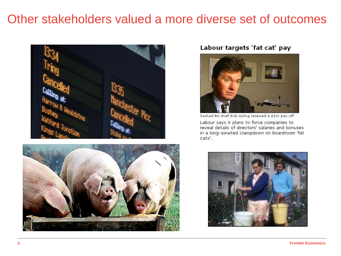### Other stakeholders valued a more diverse set of outcomes





#### Labour targets 'fat cat' pay



Sacked BA chief Bob Ayling received a £1m pay-off

Labour says it plans to force companies to reveal details of directors' salaries and bonuses in a long-awaited clampdown on boardroom 'fat cats'.

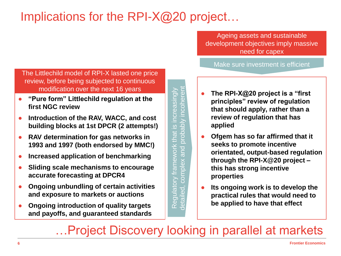# Implications for the RPI-X@20 project...

Ageing assets and sustainable development objectives imply massive need for capex

Make sure investment is efficient

- The Littlechild model of RPI-X lasted one price review, before being subjected to continuous modification over the next 16 years
- **"Pure form" Littlechild regulation at the first NGC review**
- **Introduction of the RAV, WACC, and cost building blocks at 1st DPCR (2 attempts!)**
- **RAV determination for gas networks in 1993 and 1997 (both endorsed by MMC!)**
- **Increased application of benchmarking**
- **Sliding scale mechanisms to encourage accurate forecasting at DPCR4**
- **Ongoing unbundling of certain activities and exposure to markets or auctions**
- **Ongoing introduction of quality targets and payoffs, and guaranteed standards**

Regulatory framework that is increasingly detailed, complex and probably incoherent increasingly incoher Regulatory framework that is probabl  $\overline{\mathbf{C}}$ **and** complex letailed,

- **The RPI-X@20 project is a "first principles" review of regulation that should apply, rather than a review of regulation that has applied**
- **Ofgem has so far affirmed that it seeks to promote incentive orientated, output-based regulation through the RPI-X@20 project – this has strong incentive properties**
- **Its ongoing work is to develop the practical rules that would need to be applied to have that effect**

…Project Discovery looking in parallel at markets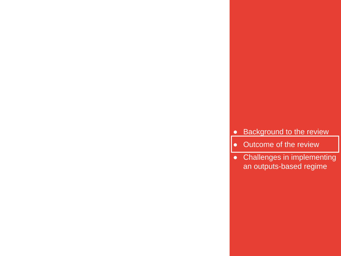#### **•** Background to the review

• Outcome of the review

**7 Frontier Economics**

● Challenges in implementing an outputs-based regime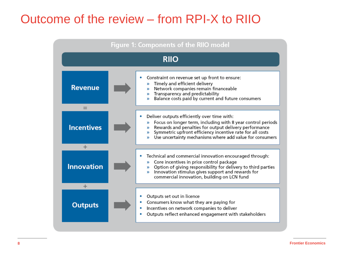### Outcome of the review – from RPI-X to RIIO

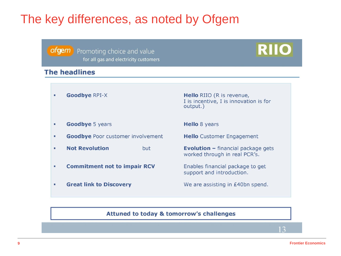### The key differences, as noted by Ofgem

#### ofgem

Promoting choice and value for all gas and electricity customers

#### **The headlines**

**Goodbye RPI-X**  $\blacksquare$ 

Hello RIIO (R is revenue, I is incentive, I is innovation is for output.)

**RIIO** 

- **Goodbye 5 years** ٠
- **Goodbye** Poor customer involvement  $\blacksquare$
- **Not Revolution** but ٠.
- **Commitment not to impair RCV** ٠.
- **Great link to Discovery** ٠

**Hello** 8 years

**Hello** Customer Engagement

**Evolution - financial package gets** worked through in real PCR's.

Enables financial package to get support and introduction.

We are assisting in £40bn spend.

#### Attuned to today & tomorrow's challenges

 $\mathbf{r}$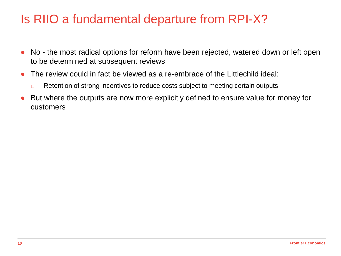### Is RIIO a fundamental departure from RPI-X?

- No the most radical options for reform have been rejected, watered down or left open to be determined at subsequent reviews
- The review could in fact be viewed as a re-embrace of the Littlechild ideal:
	- □ Retention of strong incentives to reduce costs subject to meeting certain outputs
- But where the outputs are now more explicitly defined to ensure value for money for customers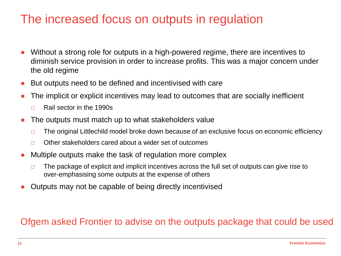### The increased focus on outputs in regulation

- Without a strong role for outputs in a high-powered regime, there are incentives to diminish service provision in order to increase profits. This was a major concern under the old regime
- But outputs need to be defined and incentivised with care
- The implicit or explicit incentives may lead to outcomes that are socially inefficient
	- $\neg$  Rail sector in the 1990s
- The outputs must match up to what stakeholders value
	- □ The original Littlechild model broke down because of an exclusive focus on economic efficiency
	- □ Other stakeholders cared about a wider set of outcomes
- Multiple outputs make the task of regulation more complex
	- $\Box$  The package of explicit and implicit incentives across the full set of outputs can give rise to over-emphasising some outputs at the expense of others
- Outputs may not be capable of being directly incentivised

#### Ofgem asked Frontier to advise on the outputs package that could be used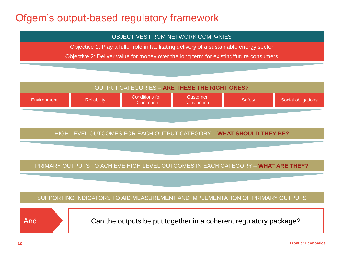#### Ofgem"s output-based regulatory framework

#### OBJECTIVES FROM NETWORK COMPANIES

Objective 1: Play a fuller role in facilitating delivery of a sustainable energy sector

Objective 2: Deliver value for money over the long term for existing/future consumers



SUPPORTING INDICATORS TO AID MEASUREMENT AND IMPLEMENTATION OF PRIMARY OUTPUTS



And  $\mathbb{R}$   $\Box$  Can the outputs be put together in a coherent regulatory package?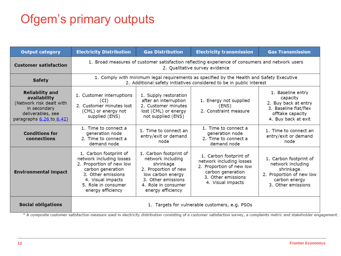# Ofgem"s primary outputs

| <b>Output category</b>                                                                                                              | <b>Electricity Distribution</b>                                                                                                                                                            | <b>Gas Distribution</b>                                                                                                                                                                                                                                                                                                   | <b>Electricity transmission</b> | <b>Gas Transmission</b>                                                                                                     |  |  |
|-------------------------------------------------------------------------------------------------------------------------------------|--------------------------------------------------------------------------------------------------------------------------------------------------------------------------------------------|---------------------------------------------------------------------------------------------------------------------------------------------------------------------------------------------------------------------------------------------------------------------------------------------------------------------------|---------------------------------|-----------------------------------------------------------------------------------------------------------------------------|--|--|
| <b>Customer satisfaction</b>                                                                                                        | 1. Broad measures of customer satisfaction reflecting experience of consumers and network users<br>2. Qualitative survey evidence                                                          |                                                                                                                                                                                                                                                                                                                           |                                 |                                                                                                                             |  |  |
| <b>Safety</b>                                                                                                                       | 1. Comply with minimum legal requirements as specified by the Health and Safety Executive<br>2. Additional safety initiatives considered to be in public interest                          |                                                                                                                                                                                                                                                                                                                           |                                 |                                                                                                                             |  |  |
| <b>Reliability and</b><br>availability<br>(Network risk dealt with<br>in secondary<br>deliverables, see<br>paragraphs 6.26 to 6.42) | 1. Customer interruptions<br>(CI)<br>2. Customer minutes lost<br>(CML) or energy not<br>supplied (ENS)                                                                                     | 1. Baseline entry<br>capacity<br>2. Buy back at entry<br>3. Baseline flat/flex<br>offtake capacity<br>4. Buy back at exit                                                                                                                                                                                                 |                                 |                                                                                                                             |  |  |
| <b>Conditions for</b><br>connections                                                                                                | 1. Time to connect a<br>generation node<br>2. Time to connect a<br>demand node                                                                                                             | 1. Time to connect a<br>1. Time to connect an<br>1. Time to connect an<br>generation node<br>entry/exit or demand<br>entry/exit or demand<br>2. Time to connect a<br>node<br>node<br>demand node                                                                                                                          |                                 |                                                                                                                             |  |  |
| <b>Environmental impact</b>                                                                                                         | 1. Carbon footprint of<br>network including losses<br>2. Proportion of new low<br>carbon generation<br>3. Other emissions<br>4. Visual impacts<br>5. Role in consumer<br>energy efficiency | 1. Carbon footprint of<br>1. Carbon footprint of<br>network including<br>network including losses<br>shrinkage<br>2. Proportion of new low<br>2. Proportion of new<br>carbon generation<br>low carbon energy<br>3. Other emissions<br>3. Other emissions<br>4. Visual impacts<br>4. Role in consumer<br>energy efficiency |                                 | 1. Carbon footprint of<br>network including<br>shrinkage<br>2. Proportion of new low<br>carbon energy<br>3. Other emissions |  |  |
| <b>Social obligations</b>                                                                                                           | 1. Targets for vulnerable customers, e.g. PSOs                                                                                                                                             |                                                                                                                                                                                                                                                                                                                           |                                 |                                                                                                                             |  |  |

**13 Frontier Economics**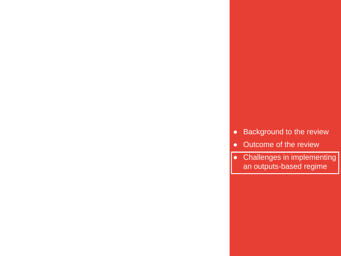- Background to the review
- Outcome of the review

**14 Frontier Economics**

● Challenges in implementing an outputs-based regime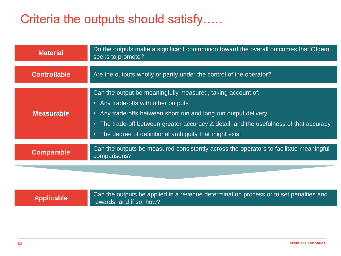## Criteria the outputs should satisfy…..

| <b>Material</b>     | Do the outputs make a significant contribution toward the overall outcomes that Ofgem<br>seeks to promote?                                                                                                                                                                                                                 |  |  |
|---------------------|----------------------------------------------------------------------------------------------------------------------------------------------------------------------------------------------------------------------------------------------------------------------------------------------------------------------------|--|--|
| <b>Controllable</b> | Are the outputs wholly or partly under the control of the operator?                                                                                                                                                                                                                                                        |  |  |
| <b>Measurable</b>   | Can the output be meaningfully measured, taking account of:<br>• Any trade-offs with other outputs<br>• Any trade-offs between short run and long run output delivery<br>• The trade-off between greater accuracy & detail, and the usefulness of that accuracy<br>• The degree of definitional ambiguity that might exist |  |  |
| <b>Comparable</b>   | Can the outputs be measured consistently across the operators to facilitate meaningful<br>comparisons?                                                                                                                                                                                                                     |  |  |
|                     |                                                                                                                                                                                                                                                                                                                            |  |  |

| <b>Applicable</b> | Can the outputs be applied in a revenue determination process or to set penalties and |
|-------------------|---------------------------------------------------------------------------------------|
|                   | rewards, and if so, how?                                                              |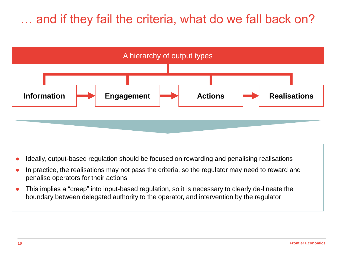## … and if they fail the criteria, what do we fall back on?



- Ideally, output-based regulation should be focused on rewarding and penalising realisations
- In practice, the realisations may not pass the criteria, so the regulator may need to reward and penalise operators for their actions
- This implies a "creep" into input-based regulation, so it is necessary to clearly de-lineate the boundary between delegated authority to the operator, and intervention by the regulator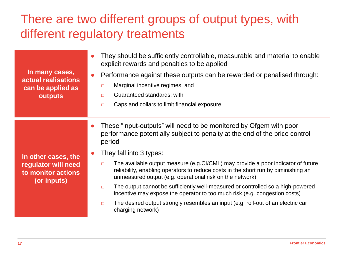# There are two different groups of output types, with different regulatory treatments

| In many cases,<br>actual realisations<br>can be applied as<br>outputs           | $\bullet$ | They should be sufficiently controllable, measurable and material to enable<br>explicit rewards and penalties to be applied<br>Performance against these outputs can be rewarded or penalised through:<br>Marginal incentive regimes; and<br>□<br>Guaranteed standards; with<br>$\Box$<br>Caps and collars to limit financial exposure<br>$\Box$ |  |
|---------------------------------------------------------------------------------|-----------|--------------------------------------------------------------------------------------------------------------------------------------------------------------------------------------------------------------------------------------------------------------------------------------------------------------------------------------------------|--|
|                                                                                 | $\bullet$ | These "input-outputs" will need to be monitored by Ofgem with poor<br>performance potentially subject to penalty at the end of the price control<br>period<br>They fall into 3 types:                                                                                                                                                            |  |
| In other cases, the<br>regulator will need<br>to monitor actions<br>(or inputs) |           | The available output measure (e.g.CI/CML) may provide a poor indicator of future<br>$\Box$<br>reliability, enabling operators to reduce costs in the short run by diminishing an<br>unmeasured output (e.g. operational risk on the network)                                                                                                     |  |
|                                                                                 |           | The output cannot be sufficiently well-measured or controlled so a high-powered<br>$\Box$<br>incentive may expose the operator to too much risk (e.g. congestion costs)                                                                                                                                                                          |  |
|                                                                                 |           | The desired output strongly resembles an input (e.g. roll-out of an electric car<br>$\Box$<br>charging network)                                                                                                                                                                                                                                  |  |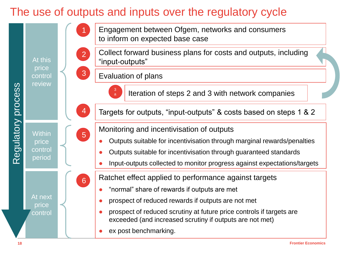#### The use of outputs and inputs over the regulatory cycle

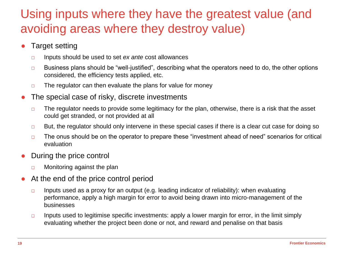## Using inputs where they have the greatest value (and avoiding areas where they destroy value)

- **Target setting** 
	- □ Inputs should be used to set *ex ante* cost allowances
	- $\Box$  Business plans should be "well-justified", describing what the operators need to do, the other options considered, the efficiency tests applied, etc.
	- $\Box$  The regulator can then evaluate the plans for value for money
- The special case of risky, discrete investments
	- $\Box$  The regulator needs to provide some legitimacy for the plan, otherwise, there is a risk that the asset could get stranded, or not provided at all
	- □ But, the regulator should only intervene in these special cases if there is a clear cut case for doing so
	- $\Box$  The onus should be on the operator to prepare these "investment ahead of need" scenarios for critical evaluation
- During the price control
	- □ Monitoring against the plan
- At the end of the price control period
	- $\Box$  Inputs used as a proxy for an output (e.g. leading indicator of reliability): when evaluating performance, apply a high margin for error to avoid being drawn into micro-management of the businesses
	- $\Box$  Inputs used to legitimise specific investments: apply a lower margin for error, in the limit simply evaluating whether the project been done or not, and reward and penalise on that basis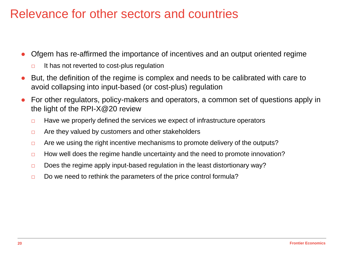### Relevance for other sectors and countries

- Ofgem has re-affirmed the importance of incentives and an output oriented regime
	- □ It has not reverted to cost-plus regulation
- But, the definition of the regime is complex and needs to be calibrated with care to avoid collapsing into input-based (or cost-plus) regulation
- For other regulators, policy-makers and operators, a common set of questions apply in the light of the RPI-X@20 review
	- $\Box$  Have we properly defined the services we expect of infrastructure operators
	- $\Box$  Are they valued by customers and other stakeholders
	- □ Are we using the right incentive mechanisms to promote delivery of the outputs?
	- □ How well does the regime handle uncertainty and the need to promote innovation?
	- $\Box$  Does the regime apply input-based regulation in the least distortionary way?
	- $\Box$  Do we need to rethink the parameters of the price control formula?